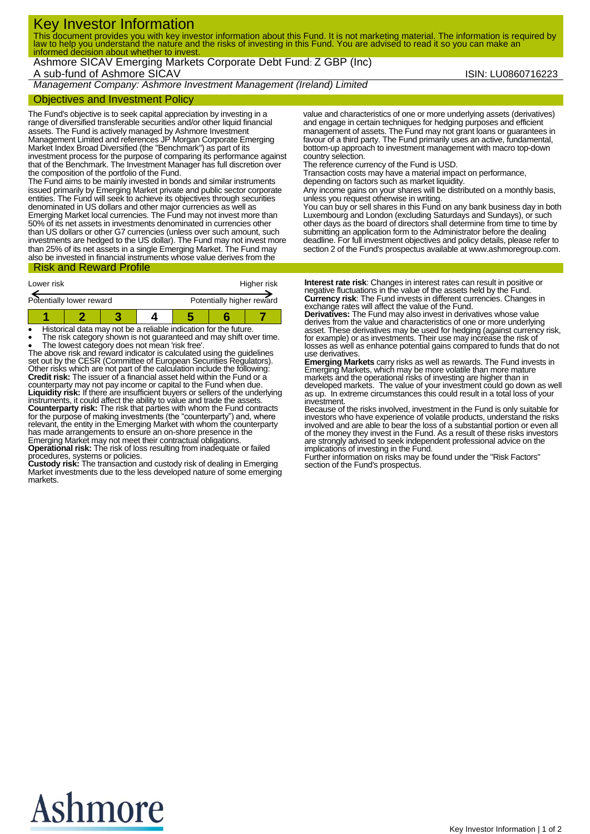# Key Investor Information

This document provides you with key investor information about this Fund. It is not marketing material. The information is required by law to help you understand the nature and the risks of investing in this Fund. You are advised to read it so you can make an informed decision about whether to invest.

Ashmore SICAV Emerging Markets Corporate Debt Fund: Z GBP (Inc) A sub-fund of Ashmore SICAV **ISIN: LU0860716223** 

*Management Company: Ashmore Investment Management (Ireland) Limited*

## Objectives and Investment Policy

The Fund's objective is to seek capital appreciation by investing in a range of diversified transferable securities and/or other liquid financial assets. The Fund is actively managed by Ashmore Investment Management Limited and references JP Morgan Corporate Emerging Market Index Broad Diversified (the "Benchmark") as part of its investment process for the purpose of comparing its performance against that of the Benchmark. The Investment Manager has full discretion over the composition of the portfolio of the Fund.

The Fund aims to be mainly invested in bonds and similar instruments issued primarily by Emerging Market private and public sector corporate entities. The Fund will seek to achieve its objectives through securities denominated in US dollars and other major currencies as well as Emerging Market local currencies. The Fund may not invest more than 50% of its net assets in investments denominated in currencies other than US dollars or other G7 currencies (unless over such amount, such investments are hedged to the US dollar). The Fund may not invest more than 25% of its net assets in a single Emerging Market. The Fund may also be invested in financial instruments whose value derives from the

# Risk and Reward Profile

| Lower risk               |  |  |  | Higher risk               |  |  |
|--------------------------|--|--|--|---------------------------|--|--|
| Potentially lower reward |  |  |  | Potentially higher reward |  |  |
|                          |  |  |  |                           |  |  |

Historical data may not be a reliable indication for the future.

The risk category shown is not guaranteed and may shift over time.

 The lowest category does not mean 'risk free'. The above risk and reward indicator is calculated using the guidelines set out by the CESR (Committee of European Securities Regulators). Other risks which are not part of the calculation include the following:<br>**Credit risk:** The issuer of a financial asset held within the Fund or a counterparty may not pay income or capital to the Fund when due. **Liquidity risk:** If there are insufficient buyers or sellers of the underlying instruments, it could affect the ability to value and trade the assets. **Counterparty risk:** The risk that parties with whom the Fund contracts for the purpose of making investments (the "counterparty") and, where relevant, the entity in the Emerging Market with whom the counterparty has made arrangements to ensure an on-shore presence in the Emerging Market may not meet their contractual obligations. **Operational risk:** The risk of loss resulting from inadequate or failed

procedures, systems or policies.

**Custody risk:** The transaction and custody risk of dealing in Emerging Market investments due to the less developed nature of some emerging markets.

value and characteristics of one or more underlying assets (derivatives) and engage in certain techniques for hedging purposes and efficient management of assets. The Fund may not grant loans or guarantees in favour of a third party. The Fund primarily uses an active, fundamental, bottom-up approach to investment management with macro top-down country selection.

The reference currency of the Fund is USD.

Transaction costs may have a material impact on performance,

depending on factors such as market liquidity.

Any income gains on your shares will be distributed on a monthly basis, unless you request otherwise in writing.

You can buy or sell shares in this Fund on any bank business day in both Luxembourg and London (excluding Saturdays and Sundays), or such other days as the board of directors shall determine from time to time by submitting an application form to the Administrator before the dealing deadline. For full investment objectives and policy details, please refer to section 2 of the Fund's prospectus available at www.ashmoregroup.com.

**Interest rate risk**: Changes in interest rates can result in positive or negative fluctuations in the value of the assets held by the Fund. **Currency risk**: The Fund invests in different currencies. Changes in

exchange rates will affect the value of the Fund. **Derivatives:** The Fund may also invest in derivatives whose value derives from the value and characteristics of one or more underlying asset. These derivatives may be used for hedging (against currency risk, for example) or as investments. Their use may increase the risk of losses as well as enhance potential gains compared to funds that do not use derivatives.

**Emerging Markets** carry risks as well as rewards. The Fund invests in Emerging Markets, which may be more volatile than more mature markets and the operational risks of investing are higher than in developed markets. The value of your investment could go down as well as up. In extreme circumstances this could result in a total loss of your

investment. Because of the risks involved, investment in the Fund is only suitable for investors who have experience of volatile products, understand the risks involved and are able to bear the loss of a substantial portion or even all of the money they invest in the Fund. As a result of these risks investors are strongly advised to seek independent professional advice on the

implications of investing in the Fund. Further information on risks may be found under the "Risk Factors" section of the Fund's prospectus.